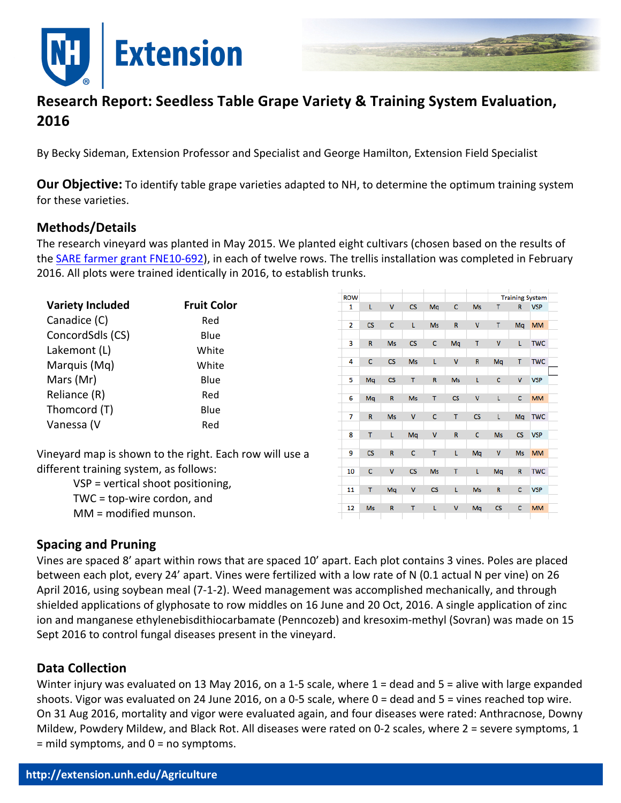



# **Research Report: Seedless Table Grape Variety & Training System Evaluation, 2016**

By Becky Sideman, Extension Professor and Specialist and George Hamilton, Extension Field Specialist

**Our Objective:** To identify table grape varieties adapted to NH, to determine the optimum training system for these varieties.

#### **Methods/Details**

The research vineyard was planted in May 2015. We planted eight cultivars (chosen based on the results of the SARE farmer grant FNE10-692), in each of twelve rows. The trellis installation was completed in February 2016. All plots were trained identically in 2016, to establish trunks.

| <b>Variety Included</b> | <b>Fruit Color</b> |
|-------------------------|--------------------|
| Canadice (C)            | Red                |
| ConcordSdls (CS)        | Blue               |
| Lakemont (L)            | White              |
| Marquis (Mq)            | White              |
| Mars (Mr)               | Blue               |
| Reliance (R)            | Red                |
| Thomcord (T)            | Blue               |
| Vanessa (V              | Red                |

| <b>ROW</b> |                          |                          |                        |               |              |               | <b>Training System</b> |                          |            |  |
|------------|--------------------------|--------------------------|------------------------|---------------|--------------|---------------|------------------------|--------------------------|------------|--|
| 1          | L                        | V                        | CS                     | Mq            | C            | <b>Ms</b>     | T                      | R                        | <b>VSP</b> |  |
|            |                          |                          |                        |               |              |               |                        |                          |            |  |
| 2          | $\mathsf{CS}\phantom{0}$ | $\mathsf{C}$             | L                      | <b>Ms</b>     | R            | V             | T                      | Mq                       | <b>MM</b>  |  |
|            |                          |                          |                        |               |              |               |                        |                          |            |  |
| 3          | R                        | <b>Ms</b>                | CS                     | C             | Mq           | T             | v                      | L                        | <b>TWC</b> |  |
|            |                          |                          |                        |               |              |               |                        |                          |            |  |
| 4          | c                        | $\mathsf{CS}\phantom{0}$ | <b>Ms</b>              | L             | $\mathsf{v}$ | R             | Mq                     | T                        | <b>TWC</b> |  |
|            |                          |                          |                        |               |              |               |                        |                          |            |  |
| 5          | Mq                       | $\mathsf{CS}\phantom{0}$ | T                      | R             | <b>Ms</b>    | L             | C                      | ٧                        | <b>VSP</b> |  |
|            |                          |                          |                        |               |              |               |                        |                          |            |  |
| 6          | Mq                       | R                        | <b>Ms</b>              | T             | CS           | V             | L                      | C                        | <b>MM</b>  |  |
|            |                          |                          |                        |               |              |               |                        |                          |            |  |
| 7          | $\mathsf R$              | <b>Ms</b>                | V                      | C             | T            | $\mathsf{CS}$ | L                      | Mq                       | <b>TWC</b> |  |
| 8          | T                        | L                        | Mq                     | V             | R            | $\mathsf c$   | <b>Ms</b>              | $\mathsf{CS}\phantom{0}$ | <b>VSP</b> |  |
|            |                          |                          |                        |               |              |               |                        |                          |            |  |
| 9          | $\overline{\text{CS}}$   | R                        | C                      | T             | Ĺ            | Mq            | V                      | <b>Ms</b>                | <b>MM</b>  |  |
|            |                          |                          |                        |               |              |               |                        |                          |            |  |
| 10         | c                        | V                        | $\overline{\text{CS}}$ | Ms            | T            | t.            | Mq                     | R                        | <b>TWC</b> |  |
|            |                          |                          |                        |               |              |               |                        |                          |            |  |
| 11         | T                        | Mq                       | V                      | $\mathsf{CS}$ | L            | <b>Ms</b>     | R                      | c                        | <b>VSP</b> |  |
|            |                          |                          |                        |               |              |               |                        |                          |            |  |
| 12         | <b>Ms</b>                | R                        | T                      | L             | V            | Mq            | CS                     | c                        | <b>MM</b>  |  |
|            |                          |                          |                        |               |              |               |                        |                          |            |  |

Vineyard map is shown to the right. Each row will use a different training system, as follows:

> $VSP = vertical shoot positioning,$ TWC =  $top\text{-}wire\text{-}cordon$ , and  $MM =$  modified munson.

### **Spacing and Pruning**

Vines are spaced 8' apart within rows that are spaced 10' apart. Each plot contains 3 vines. Poles are placed between each plot, every 24' apart. Vines were fertilized with a low rate of N (0.1 actual N per vine) on 26 April 2016, using soybean meal (7-1-2). Weed management was accomplished mechanically, and through shielded applications of glyphosate to row middles on 16 June and 20 Oct, 2016. A single application of zinc ion and manganese ethylenebisdithiocarbamate (Penncozeb) and kresoxim-methyl (Sovran) was made on 15 Sept 2016 to control fungal diseases present in the vineyard.

#### **Data Collection**

Winter injury was evaluated on 13 May 2016, on a 1-5 scale, where  $1 =$  dead and  $5 =$  alive with large expanded shoots. Vigor was evaluated on 24 June 2016, on a 0-5 scale, where  $0 =$  dead and  $5 =$  vines reached top wire. On 31 Aug 2016, mortality and vigor were evaluated again, and four diseases were rated: Anthracnose, Downy Mildew, Powdery Mildew, and Black Rot. All diseases were rated on 0-2 scales, where  $2 =$  severe symptoms, 1  $=$  mild symptoms, and  $0 =$  no symptoms.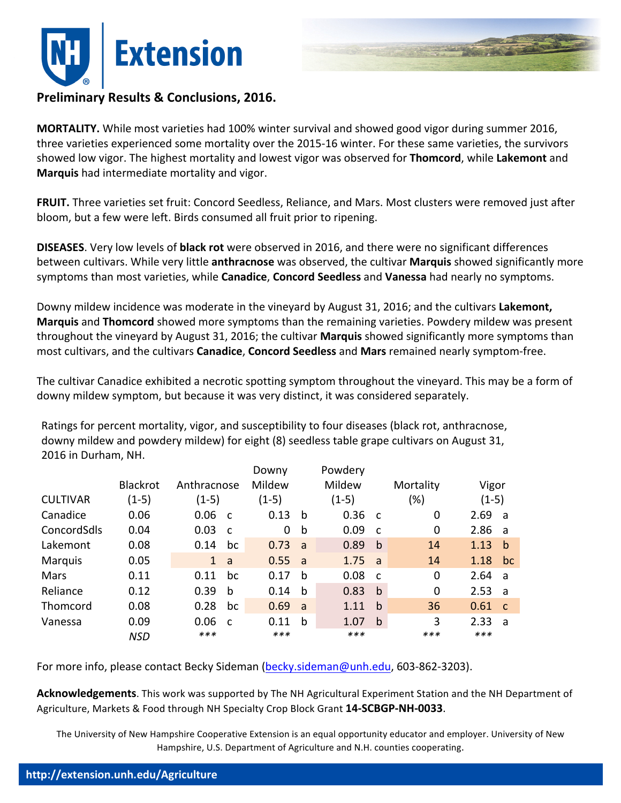



## **Preliminary Results & Conclusions, 2016.**

**MORTALITY.** While most varieties had 100% winter survival and showed good vigor during summer 2016, three varieties experienced some mortality over the 2015-16 winter. For these same varieties, the survivors showed low vigor. The highest mortality and lowest vigor was observed for Thomcord, while Lakemont and **Marquis** had intermediate mortality and vigor.

**FRUIT.** Three varieties set fruit: Concord Seedless, Reliance, and Mars. Most clusters were removed just after bloom, but a few were left. Birds consumed all fruit prior to ripening.

**DISEASES.** Very low levels of **black rot** were observed in 2016, and there were no significant differences between cultivars. While very little **anthracnose** was observed, the cultivar Marquis showed significantly more symptoms than most varieties, while **Canadice, Concord Seedless** and **Vanessa** had nearly no symptoms.

Downy mildew incidence was moderate in the vineyard by August 31, 2016; and the cultivars Lakemont, **Marquis** and **Thomcord** showed more symptoms than the remaining varieties. Powdery mildew was present throughout the vineyard by August 31, 2016; the cultivar **Marquis** showed significantly more symptoms than most cultivars, and the cultivars **Canadice, Concord Seedless** and Mars remained nearly symptom-free.

The cultivar Canadice exhibited a necrotic spotting symptom throughout the vineyard. This may be a form of downy mildew symptom, but because it was very distinct, it was considered separately.

Ratings for percent mortality, vigor, and susceptibility to four diseases (black rot, anthracnose, downy mildew and powdery mildew) for eight (8) seedless table grape cultivars on August 31, 2016 in Durham, NH.

|                 |                 |              |              | Downy   |     | Powdery |              |             |      |              |  |
|-----------------|-----------------|--------------|--------------|---------|-----|---------|--------------|-------------|------|--------------|--|
|                 | <b>Blackrot</b> | Anthracnose  |              | Mildew  |     | Mildew  |              | Mortality   |      | Vigor        |  |
| <b>CULTIVAR</b> | $(1-5)$         | $(1-5)$      |              | $(1-5)$ |     | $(1-5)$ |              | $(\%)$      |      | $(1-5)$      |  |
| Canadice        | 0.06            | 0.06         | $\mathsf{C}$ | 0.13    | b   | 0.36    | $\mathsf{C}$ | 0           | 2.69 | ่ล           |  |
| ConcordSdls     | 0.04            | 0.03         | $\mathsf{C}$ | 0       | b   | 0.09    | $\mathbf{C}$ | $\mathbf 0$ | 2.86 | - a          |  |
| Lakemont        | 0.08            | 0.14         | bc           | 0.73    | a   | 0.89    | $\mathbf b$  | 14          | 1.13 | b            |  |
| <b>Marquis</b>  | 0.05            | $\mathbf{1}$ | a            | 0.55    | a a | 1.75    | a -          | 14          | 1.18 | bc           |  |
| Mars            | 0.11            | 0.11         | bc           | 0.17    | b   | 0.08    | $\mathsf{C}$ | $\mathbf 0$ | 2.64 | <b>a</b>     |  |
| Reliance        | 0.12            | 0.39         | b            | 0.14    | b   | 0.83    | b            | $\mathbf 0$ | 2.53 | <b>a</b>     |  |
| Thomcord        | 0.08            | 0.28         | bc           | 0.69    | a   | 1.11    | b            | 36          | 0.61 | $\mathbf{C}$ |  |
| Vanessa         | 0.09            | 0.06         | $\mathsf{C}$ | 0.11    | b   | 1.07    | b            | 3           | 2.33 | a            |  |
|                 | <b>NSD</b>      | $***$        |              | ***     |     | ***     |              | ***         | ***  |              |  |

For more info, please contact Becky Sideman (becky.sideman@unh.edu, 603-862-3203).

Acknowledgements. This work was supported by The NH Agricultural Experiment Station and the NH Department of Agriculture, Markets & Food through NH Specialty Crop Block Grant 14-SCBGP-NH-0033.

The University of New Hampshire Cooperative Extension is an equal opportunity educator and employer. University of New Hampshire, U.S. Department of Agriculture and N.H. counties cooperating.